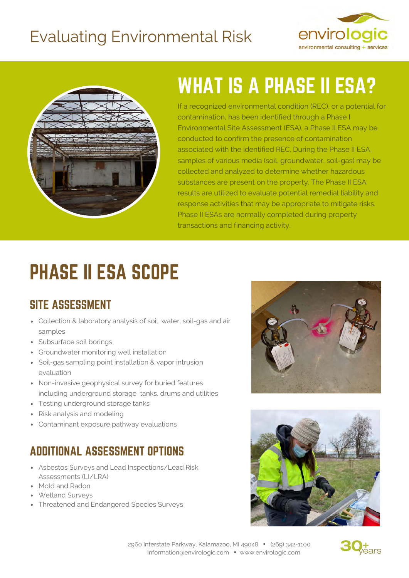### Evaluating Environmental Risk





# WHAT IS A PHASE II ESA?

If a recognized environmental condition (REC), or a potential for contamination, has been identified through a Phase I Environmental Site Assessment (ESA), a Phase II ESA may be conducted to confirm the presence of contamination associated with the identified REC. During the Phase II ESA, samples of various media (soil, groundwater, soil-gas) may be collected and analyzed to determine whether hazardous substances are present on the property. The Phase II ESA results are utilized to evaluate potential remedial liability and response activities that may be appropriate to mitigate risks. Phase II ESAs are normally completed during property transactions and financing activity.

# PHASE II ESA SCOPE

#### SITE ASSESSMENT

- Collection & laboratory analysis of soil, water, soil-gas and air samples
- Subsurface soil borings
- Groundwater monitoring well installation
- Soil-gas sampling point installation & vapor intrusion evaluation
- Non-invasive geophysical survey for buried features including underground storage tanks, drums and utilities
- Testing underground storage tanks
- Risk analysis and modeling
- Contaminant exposure pathway evaluations

#### ADDITIONAL ASSESSMENT OPTIONS

- Asbestos Surveys and Lead Inspections/Lead Risk Assessments (LI/LRA)
- Mold and Radon
- Wetland Surveys
- Threatened and Endangered Species Surveys